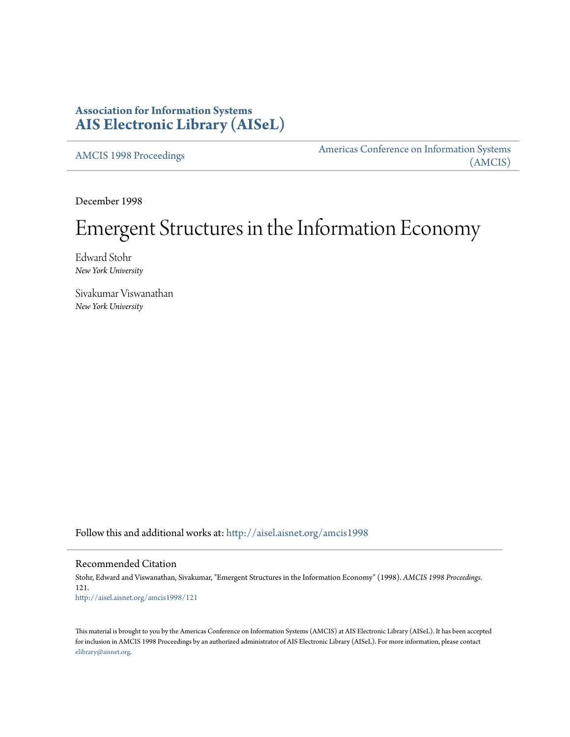## **Association for Information Systems [AIS Electronic Library \(AISeL\)](http://aisel.aisnet.org?utm_source=aisel.aisnet.org%2Famcis1998%2F121&utm_medium=PDF&utm_campaign=PDFCoverPages)**

[AMCIS 1998 Proceedings](http://aisel.aisnet.org/amcis1998?utm_source=aisel.aisnet.org%2Famcis1998%2F121&utm_medium=PDF&utm_campaign=PDFCoverPages)

[Americas Conference on Information Systems](http://aisel.aisnet.org/amcis?utm_source=aisel.aisnet.org%2Famcis1998%2F121&utm_medium=PDF&utm_campaign=PDFCoverPages) [\(AMCIS\)](http://aisel.aisnet.org/amcis?utm_source=aisel.aisnet.org%2Famcis1998%2F121&utm_medium=PDF&utm_campaign=PDFCoverPages)

December 1998

# Emergent Structures in the Information Economy

Edward Stohr *New York University*

Sivakumar Viswanathan *New York University*

Follow this and additional works at: [http://aisel.aisnet.org/amcis1998](http://aisel.aisnet.org/amcis1998?utm_source=aisel.aisnet.org%2Famcis1998%2F121&utm_medium=PDF&utm_campaign=PDFCoverPages)

#### Recommended Citation

Stohr, Edward and Viswanathan, Sivakumar, "Emergent Structures in the Information Economy" (1998). *AMCIS 1998 Proceedings*. 121. [http://aisel.aisnet.org/amcis1998/121](http://aisel.aisnet.org/amcis1998/121?utm_source=aisel.aisnet.org%2Famcis1998%2F121&utm_medium=PDF&utm_campaign=PDFCoverPages)

This material is brought to you by the Americas Conference on Information Systems (AMCIS) at AIS Electronic Library (AISeL). It has been accepted for inclusion in AMCIS 1998 Proceedings by an authorized administrator of AIS Electronic Library (AISeL). For more information, please contact [elibrary@aisnet.org.](mailto:elibrary@aisnet.org%3E)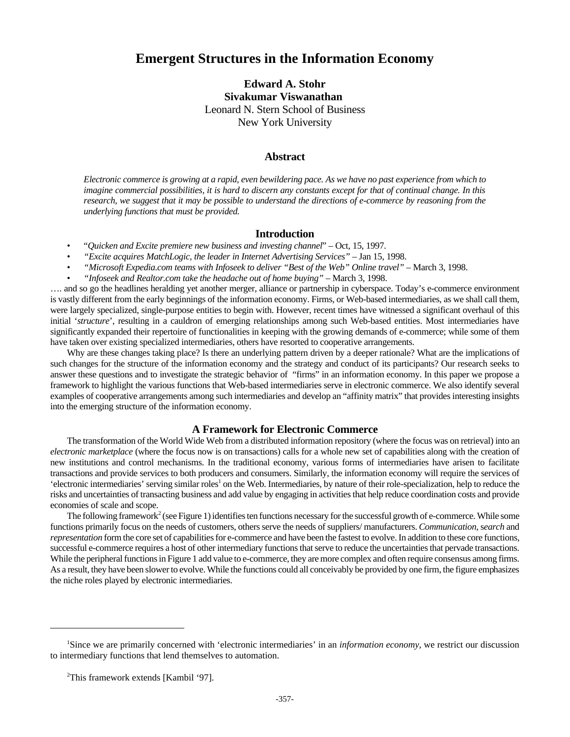## **Emergent Structures in the Information Economy**

**Edward A. Stohr Sivakumar Viswanathan**  Leonard N. Stern School of Business New York University

#### **Abstract**

*Electronic commerce is growing at a rapid, even bewildering pace. As we have no past experience from which to imagine commercial possibilities, it is hard to discern any constants except for that of continual change. In this research, we suggest that it may be possible to understand the directions of e-commerce by reasoning from the underlying functions that must be provided.*

#### **Introduction**

- "*Quicken and Excite premiere new business and investing channel*" Oct, 15, 1997.
- *"Excite acquires MatchLogic, the leader in Internet Advertising Services"* Jan 15, 1998.
- *"Microsoft Expedia.com teams with Infoseek to deliver "Best of the Web" Online travel"* March 3, 1998.
- *"Infoseek and Realtor.com take the headache out of home buying"* March 3, 1998.

…. and so go the headlines heralding yet another merger, alliance or partnership in cyberspace. Today's e-commerce environment is vastly different from the early beginnings of the information economy. Firms, or Web-based intermediaries, as we shall call them, were largely specialized, single-purpose entities to begin with. However, recent times have witnessed a significant overhaul of this initial '*structure*', resulting in a cauldron of emerging relationships among such Web-based entities. Most intermediaries have significantly expanded their repertoire of functionalities in keeping with the growing demands of e-commerce; while some of them have taken over existing specialized intermediaries, others have resorted to cooperative arrangements.

Why are these changes taking place? Is there an underlying pattern driven by a deeper rationale? What are the implications of such changes for the structure of the information economy and the strategy and conduct of its participants? Our research seeks to answer these questions and to investigate the strategic behavior of "firms" in an information economy. In this paper we propose a framework to highlight the various functions that Web-based intermediaries serve in electronic commerce. We also identify several examples of cooperative arrangements among such intermediaries and develop an "affinity matrix" that provides interesting insights into the emerging structure of the information economy.

#### **A Framework for Electronic Commerce**

The transformation of the World Wide Web from a distributed information repository (where the focus was on retrieval) into an *electronic marketplace* (where the focus now is on transactions) calls for a whole new set of capabilities along with the creation of new institutions and control mechanisms. In the traditional economy, various forms of intermediaries have arisen to facilitate transactions and provide services to both producers and consumers. Similarly, the information economy will require the services of 'electronic intermediaries' serving similar roles<sup>1</sup> on the Web. Intermediaries, by nature of their role-specialization, help to reduce the risks and uncertainties of transacting business and add value by engaging in activities that help reduce coordination costs and provide economies of scale and scope.

The following framework<sup>2</sup> (see Figure 1) identifies ten functions necessary for the successful growth of e-commerce. While some functions primarily focus on the needs of customers, others serve the needs of suppliers/ manufacturers. *Communication*, s*earch* and *representation* form the core set of capabilities for e-commerce and have been the fastest to evolve. In addition to these core functions, successful e-commerce requires a host of other intermediary functions that serve to reduce the uncertainties that pervade transactions. While the peripheral functions in Figure 1 add value to e-commerce, they are more complex and often require consensus among firms. As a result, they have been slower to evolve. While the functions could all conceivably be provided by one firm, the figure emphasizes the niche roles played by electronic intermediaries.

<sup>&</sup>lt;sup>1</sup>Since we are primarily concerned with 'electronic intermediaries' in an *information economy*, we restrict our discussion to intermediary functions that lend themselves to automation.

<sup>&</sup>lt;sup>2</sup>This framework extends [Kambil '97].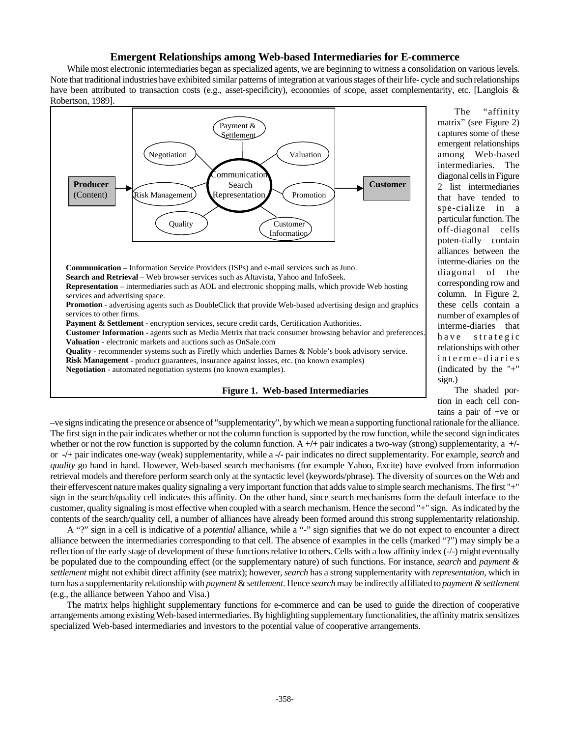#### **Emergent Relationships among Web-based Intermediaries for E-commerce**

While most electronic intermediaries began as specialized agents, we are beginning to witness a consolidation on various levels. Note that traditional industries have exhibited similar patterns of integration at various stages of their life- cycle and such relationships have been attributed to transaction costs (e.g., asset-specificity), economies of scope, asset complementarity, etc. [Langlois & Robertson, 1989].



The "affinity matrix" (see Figure 2) captures some of these emergent relationships among Web-based intermediaries. The diagonal cells in Figure 2 list intermediaries that have tended to spe-cialize in a particular function. The off-diagonal cells poten-tially contain alliances between the interme-diaries on the diagonal of the corresponding row and column. In Figure 2, these cells contain a number of examples of interme-diaries that have strategic relationships with other interme-diaries (indicated by the "+" sign.)

The shaded portion in each cell contains a pair of +ve or

–ve signs indicating the presence or absence of "supplementarity", by which we mean a supporting functional rationale for the alliance. The first sign in the pair indicates whether or not the column function is supported by the row function, while the second sign indicates whether or not the row function is supported by the column function. A **+/+** pair indicates a two-way (strong) supplementarity, a **+/** or **-/+** pair indicates one-way (weak) supplementarity, while a **-/-** pair indicates no direct supplementarity. For example, *search* and *quality* go hand in hand. However, Web-based search mechanisms (for example Yahoo, Excite) have evolved from information retrieval models and therefore perform search only at the syntactic level (keywords/phrase). The diversity of sources on the Web and their effervescent nature makes quality signaling a very important function that adds value to simple search mechanisms. The first "+" sign in the search/quality cell indicates this affinity. On the other hand, since search mechanisms form the default interface to the customer, quality signaling is most effective when coupled with a search mechanism. Hence the second "+" sign. As indicated by the contents of the search/quality cell, a number of alliances have already been formed around this strong supplementarity relationship.

A "?" sign in a cell is indicative of a *potential* alliance, while a "-" sign signifies that we do not expect to encounter a direct alliance between the intermediaries corresponding to that cell. The absence of examples in the cells (marked "?") may simply be a reflection of the early stage of development of these functions relative to others. Cells with a low affinity index (-/-) might eventually be populated due to the compounding effect (or the supplementary nature) of such functions. For instance, *search* and *payment & settlement* might not exhibit direct affinity (see matrix); however, *search* has a strong supplementarity with *representation*, which in turn has a supplementarity relationship with *payment* & *settlement*. Hence *search* may be indirectly affiliated to *payment & settlement* (e.g., the alliance between Yahoo and Visa.)

The matrix helps highlight supplementary functions for e-commerce and can be used to guide the direction of cooperative arrangements among existing Web-based intermediaries. By highlighting supplementary functionalities, the affinity matrix sensitizes specialized Web-based intermediaries and investors to the potential value of cooperative arrangements.